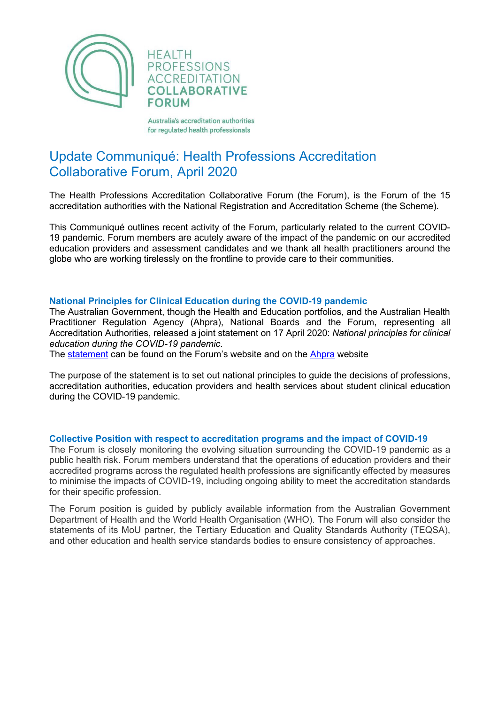

Australia's accreditation authorities for regulated health professionals

# Update Communiqué: Health Professions Accreditation Collaborative Forum, April 2020

The Health Professions Accreditation Collaborative Forum (the Forum), is the Forum of the 15 accreditation authorities with the National Registration and Accreditation Scheme (the Scheme).

This Communiqué outlines recent activity of the Forum, particularly related to the current COVID-19 pandemic. Forum members are acutely aware of the impact of the pandemic on our accredited education providers and assessment candidates and we thank all health practitioners around the globe who are working tirelessly on the frontline to provide care to their communities.

# **National Principles for Clinical Education during the COVID-19 pandemic**

The Australian Government, though the Health and Education portfolios, and the Australian Health Practitioner Regulation Agency (Ahpra), National Boards and the Forum, representing all Accreditation Authorities, released a joint statement on 17 April 2020: *National principles for clinical education during the COVID-19 pandemic*.

The [statement](http://staging.hpacf.org.au/wp-content/uploads/2022/05/National-principles-for-clinical-education-during-the-COVID19-pandemic-FINAL-17.04.20_2.pdf) can be found on the Forum's website and on the [Ahpra](https://www.ahpra.gov.au/News/COVID-19/National-principles-for-clinical-education-during-COVID-19.aspx) website

The purpose of the statement is to set out national principles to guide the decisions of professions, accreditation authorities, education providers and health services about student clinical education during the COVID-19 pandemic.

#### **Collective Position with respect to accreditation programs and the impact of COVID-19**

The Forum is closely monitoring the evolving situation surrounding the COVID-19 pandemic as a public health risk. Forum members understand that the operations of education providers and their accredited programs across the regulated health professions are significantly effected by measures to minimise the impacts of COVID-19, including ongoing ability to meet the accreditation standards for their specific profession.

The Forum position is guided by publicly available information from the Australian Government Department of Health and the World Health Organisation (WHO). The Forum will also consider the statements of its MoU partner, the Tertiary Education and Quality Standards Authority (TEQSA), and other education and health service standards bodies to ensure consistency of approaches.